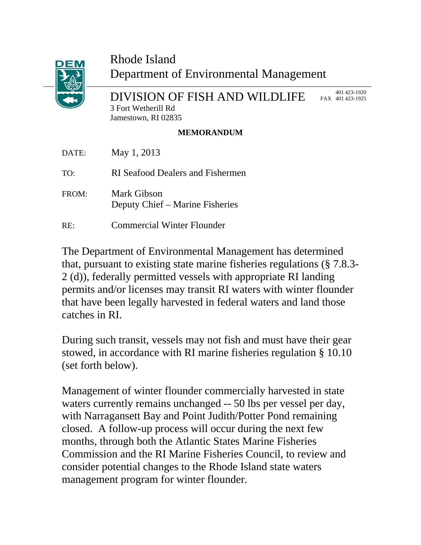

## Rhode Island Department of Environmental Management

DIVISION OF FISH AND WILDLIFE

 401 423-1920 FAX 401 423-1925

3 Fort Wetherill Rd Jamestown, RI 02835

## **MEMORANDUM**

| DATE: | May 1, 2013                                    |
|-------|------------------------------------------------|
| TO:   | RI Seafood Dealers and Fishermen               |
| FROM: | Mark Gibson<br>Deputy Chief – Marine Fisheries |
| RE:   | <b>Commercial Winter Flounder</b>              |

The Department of Environmental Management has determined that, pursuant to existing state marine fisheries regulations (§ 7.8.3- 2 (d)), federally permitted vessels with appropriate RI landing permits and/or licenses may transit RI waters with winter flounder that have been legally harvested in federal waters and land those catches in RI.

During such transit, vessels may not fish and must have their gear stowed, in accordance with RI marine fisheries regulation § 10.10 (set forth below).

Management of winter flounder commercially harvested in state waters currently remains unchanged -- 50 lbs per vessel per day, with Narragansett Bay and Point Judith/Potter Pond remaining closed. A follow-up process will occur during the next few months, through both the Atlantic States Marine Fisheries Commission and the RI Marine Fisheries Council, to review and consider potential changes to the Rhode Island state waters management program for winter flounder.